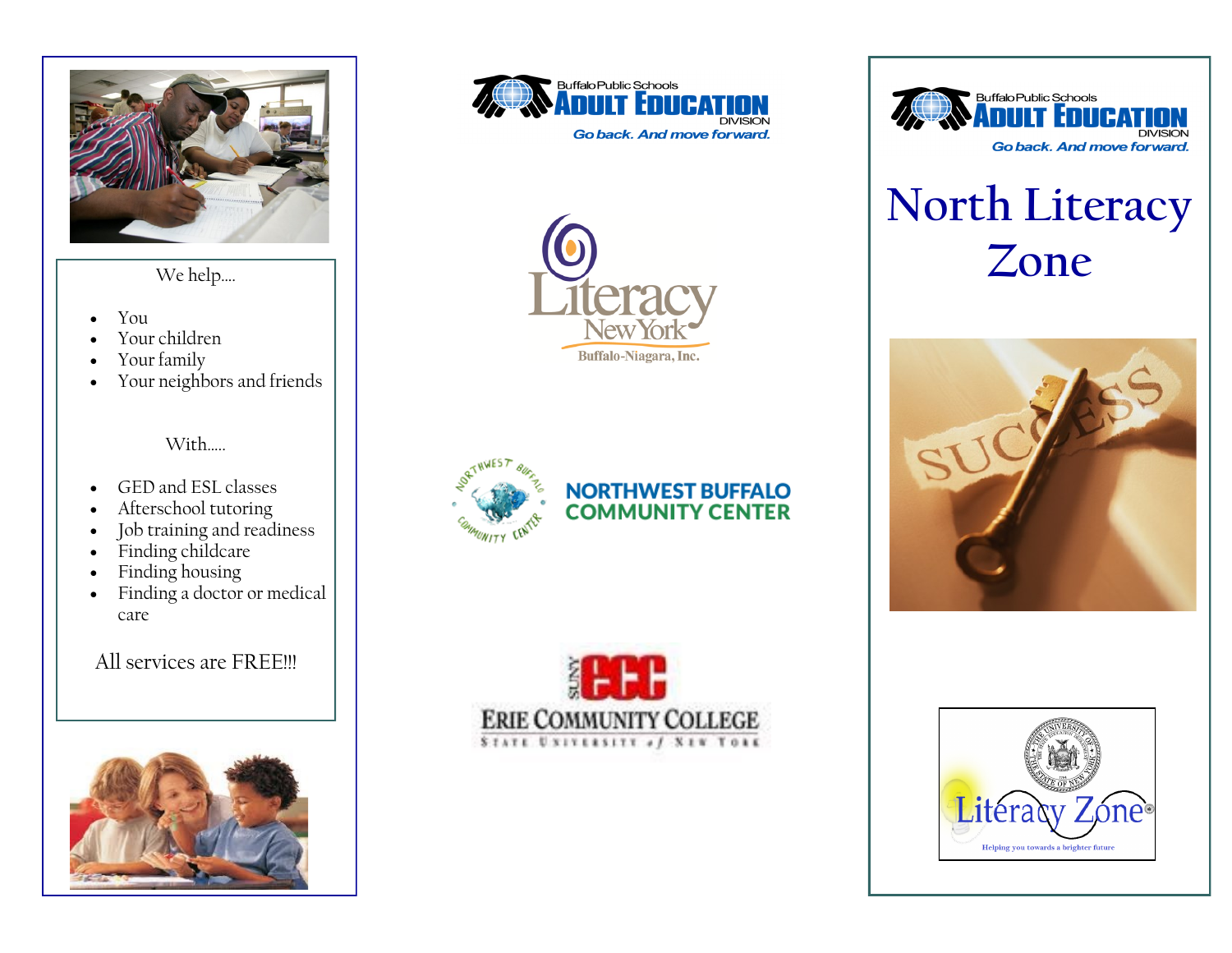

- You
- Your children
- Your family
- Your neighbors and friends

With

- GED and ESL classes
- Afterschool tutoring
- Job training and readiness
- Finding childcare
- Finding housing
- Finding a doctor or medical care

All services are FREE!!!









#### **NORTHWEST BUFFALO COMMUNITY CENTER**





# **North Literacy**